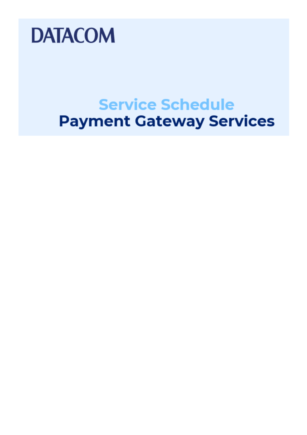

## **Service Schedule Payment Gateway Services**